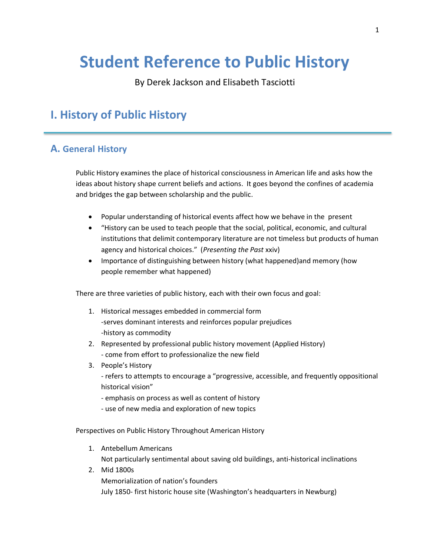# **Student Reference to Public History**

By Derek Jackson and Elisabeth Tasciotti

# **I. History of Public History**

# **A. General History**

Public History examines the place of historical consciousness in American life and asks how the ideas about history shape current beliefs and actions. It goes beyond the confines of academia and bridges the gap between scholarship and the public.

- Popular understanding of historical events affect how we behave in the present
- "History can be used to teach people that the social, political, economic, and cultural institutions that delimit contemporary literature are not timeless but products of human agency and historical choices." (*Presenting the Past* xxiv)
- Importance of distinguishing between history (what happened)and memory (how people remember what happened)

There are three varieties of public history, each with their own focus and goal:

- 1. Historical messages embedded in commercial form -serves dominant interests and reinforces popular prejudices -history as commodity
- 2. Represented by professional public history movement (Applied History) - come from effort to professionalize the new field
- 3. People's History
	- refers to attempts to encourage a "progressive, accessible, and frequently oppositional historical vision"
	- emphasis on process as well as content of history
	- use of new media and exploration of new topics

Perspectives on Public History Throughout American History

- 1. Antebellum Americans Not particularly sentimental about saving old buildings, anti-historical inclinations
- 2. Mid 1800s Memorialization of nation's founders July 1850- first historic house site (Washington's headquarters in Newburg)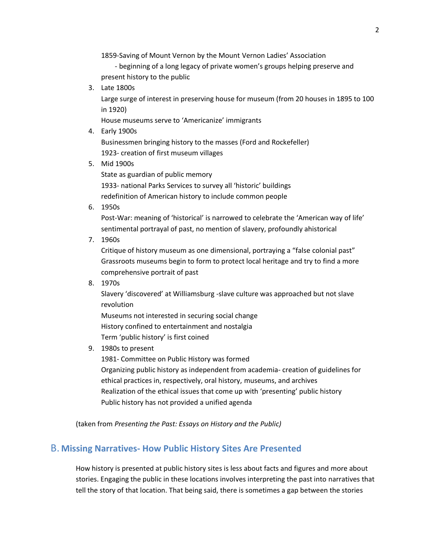1859-Saving of Mount Vernon by the Mount Vernon Ladies' Association

 - beginning of a long legacy of private women's groups helping preserve and present history to the public

3. Late 1800s

Large surge of interest in preserving house for museum (from 20 houses in 1895 to 100 in 1920)

House museums serve to 'Americanize' immigrants

4. Early 1900s

Businessmen bringing history to the masses (Ford and Rockefeller) 1923- creation of first museum villages

5. Mid 1900s

State as guardian of public memory 1933- national Parks Services to survey all 'historic' buildings redefinition of American history to include common people

6. 1950s

Post-War: meaning of 'historical' is narrowed to celebrate the 'American way of life' sentimental portrayal of past, no mention of slavery, profoundly ahistorical

7. 1960s

Critique of history museum as one dimensional, portraying a "false colonial past" Grassroots museums begin to form to protect local heritage and try to find a more comprehensive portrait of past

8. 1970s

Slavery 'discovered' at Williamsburg -slave culture was approached but not slave revolution

Museums not interested in securing social change History confined to entertainment and nostalgia Term 'public history' is first coined

9. 1980s to present

1981- Committee on Public History was formed

Organizing public history as independent from academia- creation of guidelines for ethical practices in, respectively, oral history, museums, and archives Realization of the ethical issues that come up with 'presenting' public history Public history has not provided a unified agenda

(taken from *Presenting the Past: Essays on History and the Public)*

# B. **Missing Narratives- How Public History Sites Are Presented**

How history is presented at public history sites is less about facts and figures and more about stories. Engaging the public in these locations involves interpreting the past into narratives that tell the story of that location. That being said, there is sometimes a gap between the stories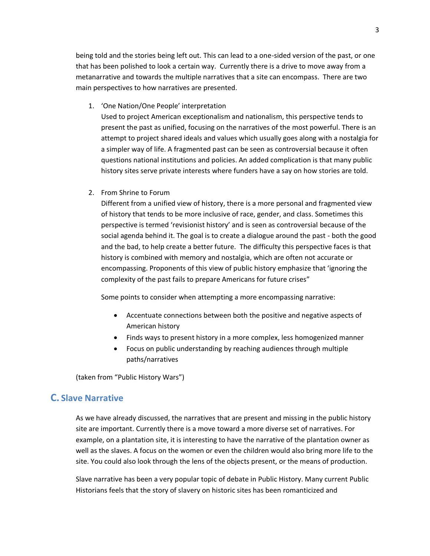being told and the stories being left out. This can lead to a one-sided version of the past, or one that has been polished to look a certain way. Currently there is a drive to move away from a metanarrative and towards the multiple narratives that a site can encompass. There are two main perspectives to how narratives are presented.

1. 'One Nation/One People' interpretation

Used to project American exceptionalism and nationalism, this perspective tends to present the past as unified, focusing on the narratives of the most powerful. There is an attempt to project shared ideals and values which usually goes along with a nostalgia for a simpler way of life. A fragmented past can be seen as controversial because it often questions national institutions and policies. An added complication is that many public history sites serve private interests where funders have a say on how stories are told.

2. From Shrine to Forum

Different from a unified view of history, there is a more personal and fragmented view of history that tends to be more inclusive of race, gender, and class. Sometimes this perspective is termed 'revisionist history' and is seen as controversial because of the social agenda behind it. The goal is to create a dialogue around the past - both the good and the bad, to help create a better future. The difficulty this perspective faces is that history is combined with memory and nostalgia, which are often not accurate or encompassing. Proponents of this view of public history emphasize that 'ignoring the complexity of the past fails to prepare Americans for future crises"

Some points to consider when attempting a more encompassing narrative:

- Accentuate connections between both the positive and negative aspects of American history
- Finds ways to present history in a more complex, less homogenized manner
- Focus on public understanding by reaching audiences through multiple paths/narratives

(taken from "Public History Wars")

#### **C. Slave Narrative**

As we have already discussed, the narratives that are present and missing in the public history site are important. Currently there is a move toward a more diverse set of narratives. For example, on a plantation site, it is interesting to have the narrative of the plantation owner as well as the slaves. A focus on the women or even the children would also bring more life to the site. You could also look through the lens of the objects present, or the means of production.

Slave narrative has been a very popular topic of debate in Public History. Many current Public Historians feels that the story of slavery on historic sites has been romanticized and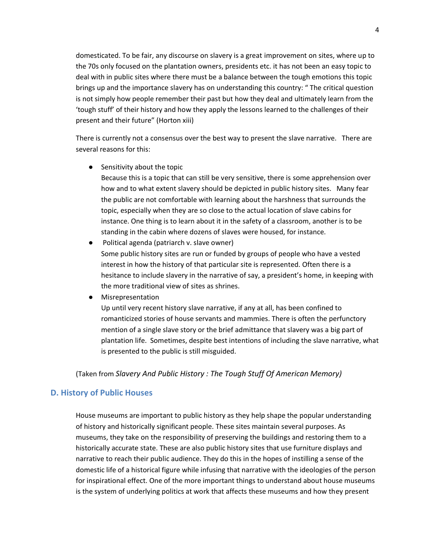domesticated. To be fair, any discourse on slavery is a great improvement on sites, where up to the 70s only focused on the plantation owners, presidents etc. it has not been an easy topic to deal with in public sites where there must be a balance between the tough emotions this topic brings up and the importance slavery has on understanding this country: " The critical question is not simply how people remember their past but how they deal and ultimately learn from the 'tough stuff' of their history and how they apply the lessons learned to the challenges of their present and their future" (Horton xiii)

There is currently not a consensus over the best way to present the slave narrative. There are several reasons for this:

● Sensitivity about the topic

Because this is a topic that can still be very sensitive, there is some apprehension over how and to what extent slavery should be depicted in public history sites. Many fear the public are not comfortable with learning about the harshness that surrounds the topic, especially when they are so close to the actual location of slave cabins for instance. One thing is to learn about it in the safety of a classroom, another is to be standing in the cabin where dozens of slaves were housed, for instance.

- Political agenda (patriarch v. slave owner) Some public history sites are run or funded by groups of people who have a vested interest in how the history of that particular site is represented. Often there is a hesitance to include slavery in the narrative of say, a president's home, in keeping with the more traditional view of sites as shrines.
- Misrepresentation

Up until very recent history slave narrative, if any at all, has been confined to romanticized stories of house servants and mammies. There is often the perfunctory mention of a single slave story or the brief admittance that slavery was a big part of plantation life. Sometimes, despite best intentions of including the slave narrative, what is presented to the public is still misguided.

(Taken from *Slavery And Public History : The Tough Stuff Of American Memory)*

#### **D. History of Public Houses**

House museums are important to public history as they help shape the popular understanding of history and historically significant people. These sites maintain several purposes. As museums, they take on the responsibility of preserving the buildings and restoring them to a historically accurate state. These are also public history sites that use furniture displays and narrative to reach their public audience. They do this in the hopes of instilling a sense of the domestic life of a historical figure while infusing that narrative with the ideologies of the person for inspirational effect. One of the more important things to understand about house museums is the system of underlying politics at work that affects these museums and how they present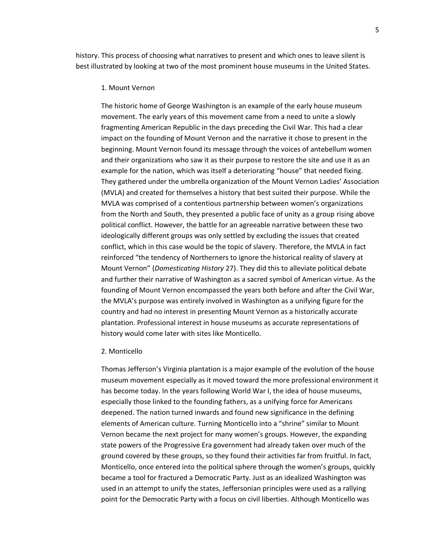history. This process of choosing what narratives to present and which ones to leave silent is best illustrated by looking at two of the most prominent house museums in the United States.

#### 1. Mount Vernon

The historic home of George Washington is an example of the early house museum movement. The early years of this movement came from a need to unite a slowly fragmenting American Republic in the days preceding the Civil War. This had a clear impact on the founding of Mount Vernon and the narrative it chose to present in the beginning. Mount Vernon found its message through the voices of antebellum women and their organizations who saw it as their purpose to restore the site and use it as an example for the nation, which was itself a deteriorating "house" that needed fixing. They gathered under the umbrella organization of the Mount Vernon Ladies' Association (MVLA) and created for themselves a history that best suited their purpose. While the MVLA was comprised of a contentious partnership between women's organizations from the North and South, they presented a public face of unity as a group rising above political conflict. However, the battle for an agreeable narrative between these two ideologically different groups was only settled by excluding the issues that created conflict, which in this case would be the topic of slavery. Therefore, the MVLA in fact reinforced "the tendency of Northerners to ignore the historical reality of slavery at Mount Vernon" (*Domesticating History* 27). They did this to alleviate political debate and further their narrative of Washington as a sacred symbol of American virtue. As the founding of Mount Vernon encompassed the years both before and after the Civil War, the MVLA's purpose was entirely involved in Washington as a unifying figure for the country and had no interest in presenting Mount Vernon as a historically accurate plantation. Professional interest in house museums as accurate representations of history would come later with sites like Monticello.

#### 2. Monticello

Thomas Jefferson's Virginia plantation is a major example of the evolution of the house museum movement especially as it moved toward the more professional environment it has become today. In the years following World War I, the idea of house museums, especially those linked to the founding fathers, as a unifying force for Americans deepened. The nation turned inwards and found new significance in the defining elements of American culture. Turning Monticello into a "shrine" similar to Mount Vernon became the next project for many women's groups. However, the expanding state powers of the Progressive Era government had already taken over much of the ground covered by these groups, so they found their activities far from fruitful. In fact, Monticello, once entered into the political sphere through the women's groups, quickly became a tool for fractured a Democratic Party. Just as an idealized Washington was used in an attempt to unify the states, Jeffersonian principles were used as a rallying point for the Democratic Party with a focus on civil liberties. Although Monticello was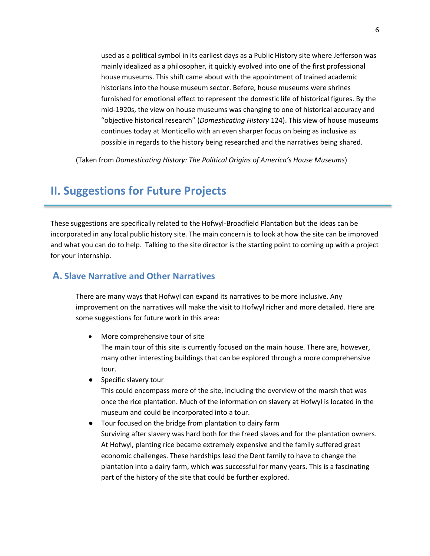used as a political symbol in its earliest days as a Public History site where Jefferson was mainly idealized as a philosopher, it quickly evolved into one of the first professional house museums. This shift came about with the appointment of trained academic historians into the house museum sector. Before, house museums were shrines furnished for emotional effect to represent the domestic life of historical figures. By the mid-1920s, the view on house museums was changing to one of historical accuracy and "objective historical research" (*Domesticating History* 124). This view of house museums continues today at Monticello with an even sharper focus on being as inclusive as possible in regards to the history being researched and the narratives being shared.

(Taken from *Domesticating History: The Political Origins of America's House Museums*)

# **II. Suggestions for Future Projects**

These suggestions are specifically related to the Hofwyl-Broadfield Plantation but the ideas can be incorporated in any local public history site. The main concern is to look at how the site can be improved and what you can do to help. Talking to the site director is the starting point to coming up with a project for your internship.

### **A. Slave Narrative and Other Narratives**

There are many ways that Hofwyl can expand its narratives to be more inclusive. Any improvement on the narratives will make the visit to Hofwyl richer and more detailed. Here are some suggestions for future work in this area:

- More comprehensive tour of site The main tour of this site is currently focused on the main house. There are, however, many other interesting buildings that can be explored through a more comprehensive tour.
- Specific slavery tour

This could encompass more of the site, including the overview of the marsh that was once the rice plantation. Much of the information on slavery at Hofwyl is located in the museum and could be incorporated into a tour.

● Tour focused on the bridge from plantation to dairy farm Surviving after slavery was hard both for the freed slaves and for the plantation owners. At Hofwyl, planting rice became extremely expensive and the family suffered great economic challenges. These hardships lead the Dent family to have to change the plantation into a dairy farm, which was successful for many years. This is a fascinating part of the history of the site that could be further explored.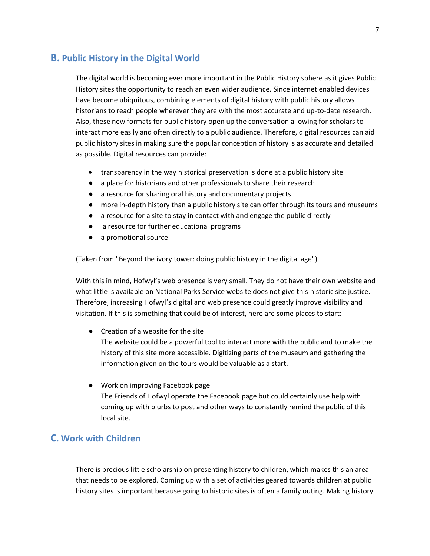### **B. Public History in the Digital World**

The digital world is becoming ever more important in the Public History sphere as it gives Public History sites the opportunity to reach an even wider audience. Since internet enabled devices have become ubiquitous, combining elements of digital history with public history allows historians to reach people wherever they are with the most accurate and up-to-date research. Also, these new formats for public history open up the conversation allowing for scholars to interact more easily and often directly to a public audience. Therefore, digital resources can aid public history sites in making sure the popular conception of history is as accurate and detailed as possible. Digital resources can provide:

- transparency in the way historical preservation is done at a public history site
- a place for historians and other professionals to share their research
- a resource for sharing oral history and documentary projects
- more in-depth history than a public history site can offer through its tours and museums
- a resource for a site to stay in contact with and engage the public directly
- a resource for further educational programs
- a promotional source

(Taken from "Beyond the ivory tower: doing public history in the digital age")

With this in mind, Hofwyl's web presence is very small. They do not have their own website and what little is available on National Parks Service website does not give this historic site justice. Therefore, increasing Hofwyl's digital and web presence could greatly improve visibility and visitation. If this is something that could be of interest, here are some places to start:

- Creation of a website for the site The website could be a powerful tool to interact more with the public and to make the history of this site more accessible. Digitizing parts of the museum and gathering the information given on the tours would be valuable as a start.
- Work on improving Facebook page The Friends of Hofwyl operate the Facebook page but could certainly use help with coming up with blurbs to post and other ways to constantly remind the public of this local site.

## **C. Work with Children**

There is precious little scholarship on presenting history to children, which makes this an area that needs to be explored. Coming up with a set of activities geared towards children at public history sites is important because going to historic sites is often a family outing. Making history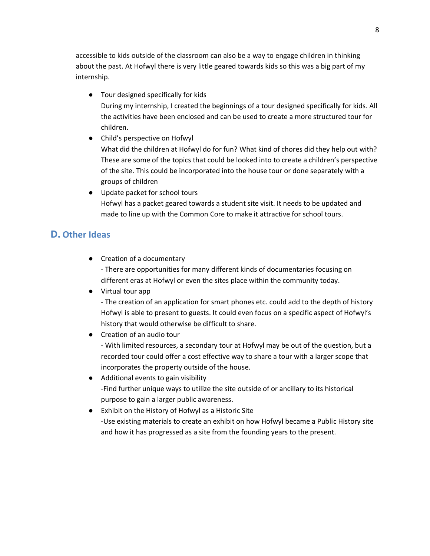accessible to kids outside of the classroom can also be a way to engage children in thinking about the past. At Hofwyl there is very little geared towards kids so this was a big part of my internship.

- Tour designed specifically for kids During my internship, I created the beginnings of a tour designed specifically for kids. All the activities have been enclosed and can be used to create a more structured tour for children.
- Child's perspective on Hofwyl What did the children at Hofwyl do for fun? What kind of chores did they help out with? These are some of the topics that could be looked into to create a children's perspective of the site. This could be incorporated into the house tour or done separately with a groups of children
- Update packet for school tours Hofwyl has a packet geared towards a student site visit. It needs to be updated and made to line up with the Common Core to make it attractive for school tours.

# **D. Other Ideas**

● Creation of a documentary

- There are opportunities for many different kinds of documentaries focusing on different eras at Hofwyl or even the sites place within the community today.

● Virtual tour app

- The creation of an application for smart phones etc. could add to the depth of history Hofwyl is able to present to guests. It could even focus on a specific aspect of Hofwyl's history that would otherwise be difficult to share.

● Creation of an audio tour

- With limited resources, a secondary tour at Hofwyl may be out of the question, but a recorded tour could offer a cost effective way to share a tour with a larger scope that incorporates the property outside of the house.

- Additional events to gain visibility -Find further unique ways to utilize the site outside of or ancillary to its historical purpose to gain a larger public awareness.
- Exhibit on the History of Hofwyl as a Historic Site -Use existing materials to create an exhibit on how Hofwyl became a Public History site and how it has progressed as a site from the founding years to the present.